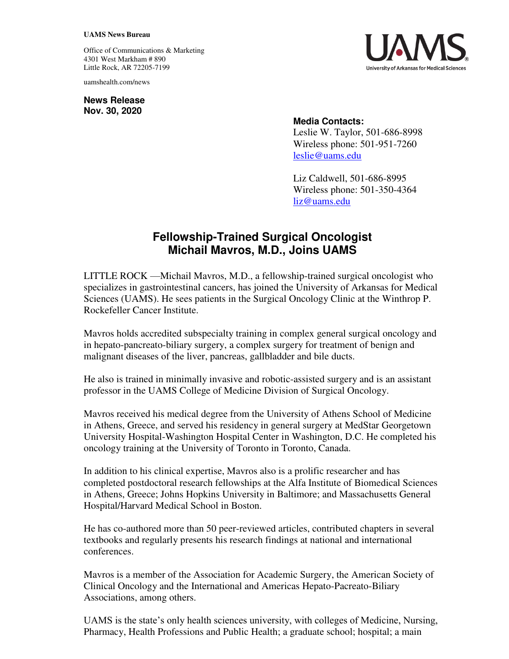## **UAMS News Bureau**

Office of Communications & Marketing 4301 West Markham # 890 Little Rock, AR 72205-7199

uamshealth.com/news

**News Release Nov. 30, 2020**



## **Media Contacts:**

Leslie W. Taylor, 501-686-8998 Wireless phone: 501-951-7260 [leslie@uams.edu](mailto:leslie@uams.edu)

Liz Caldwell, 501-686-8995 Wireless phone: 501-350-4364 [liz@uams.edu](mailto:liz@uams.edu)

## **Fellowship-Trained Surgical Oncologist Michail Mavros, M.D., Joins UAMS**

LITTLE ROCK —Michail Mavros, M.D., a fellowship-trained surgical oncologist who specializes in gastrointestinal cancers, has joined the University of Arkansas for Medical Sciences (UAMS). He sees patients in the Surgical Oncology Clinic at the Winthrop P. Rockefeller Cancer Institute.

Mavros holds accredited subspecialty training in complex general surgical oncology and in hepato-pancreato-biliary surgery, a complex surgery for treatment of benign and malignant diseases of the liver, pancreas, gallbladder and bile ducts.

He also is trained in minimally invasive and robotic-assisted surgery and is an assistant professor in the UAMS College of Medicine Division of Surgical Oncology.

Mavros received his medical degree from the University of Athens School of Medicine in Athens, Greece, and served his residency in general surgery at MedStar Georgetown University Hospital-Washington Hospital Center in Washington, D.C. He completed his oncology training at the University of Toronto in Toronto, Canada.

In addition to his clinical expertise, Mavros also is a prolific researcher and has completed postdoctoral research fellowships at the Alfa Institute of Biomedical Sciences in Athens, Greece; Johns Hopkins University in Baltimore; and Massachusetts General Hospital/Harvard Medical School in Boston.

He has co-authored more than 50 peer-reviewed articles, contributed chapters in several textbooks and regularly presents his research findings at national and international conferences.

Mavros is a member of the Association for Academic Surgery, the American Society of Clinical Oncology and the International and Americas Hepato-Pacreato-Biliary Associations, among others.

UAMS is the state's only health sciences university, with colleges of Medicine, Nursing, Pharmacy, Health Professions and Public Health; a graduate school; hospital; a main